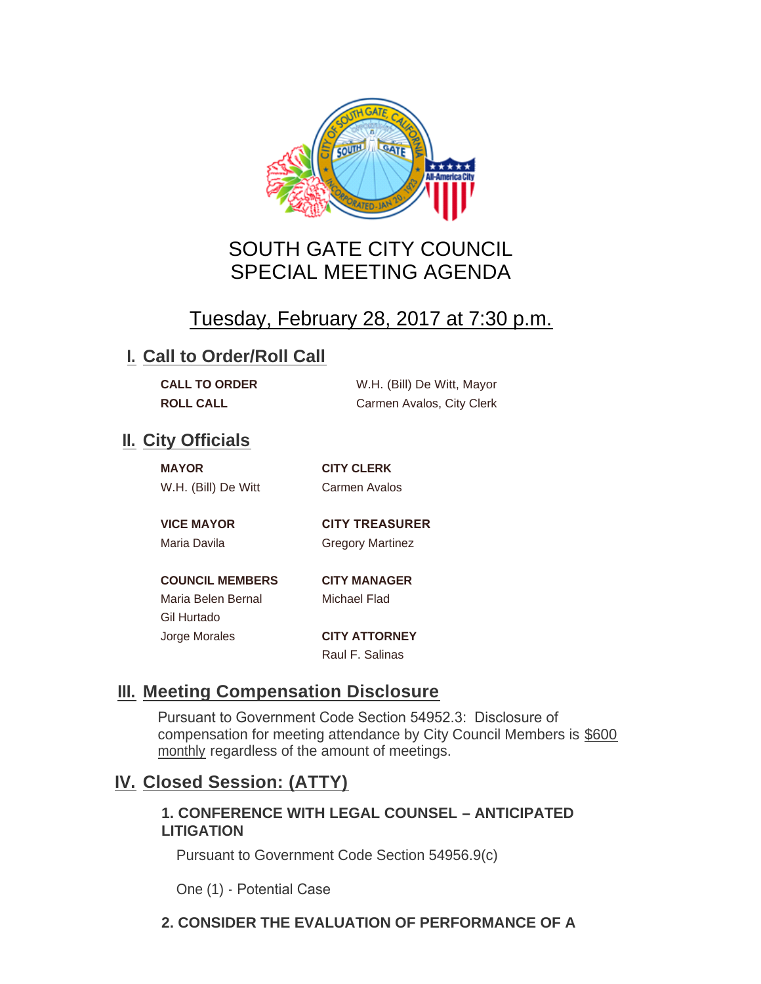

# SOUTH GATE CITY COUNCIL SPECIAL MEETING AGENDA

# Tuesday, February 28, 2017 at 7:30 p.m.

## **I. Call to Order/Roll Call**

| <b>CALL TO ORDER</b> | W.H. (Bill) De Witt, Mayor |
|----------------------|----------------------------|
| <b>ROLL CALL</b>     | Carmen Avalos, City Clerk  |

## **II.** City Officials

| <b>MAYOR</b> |                     |  |
|--------------|---------------------|--|
|              | W.H. (Bill) De Witt |  |

**MAYOR CITY CLERK** Carmen Avalos

**VICE MAYOR CITY TREASURER** 

Maria Davila **Gregory Martinez** 

**COUNCIL MEMBERS CITY MANAGER** Maria Belen Bernal Michael Flad Gil Hurtado Jorge Morales **CITY ATTORNEY**

Raul F. Salinas

# **Meeting Compensation Disclosure III.**

Pursuant to Government Code Section 54952.3: Disclosure of compensation for meeting attendance by City Council Members is \$600 monthly regardless of the amount of meetings.

## **Closed Session: (ATTY) IV.**

#### **1. CONFERENCE WITH LEGAL COUNSEL – ANTICIPATED LITIGATION**

Pursuant to Government Code Section 54956.9(c)

One (1) - Potential Case

#### **2. CONSIDER THE EVALUATION OF PERFORMANCE OF A**